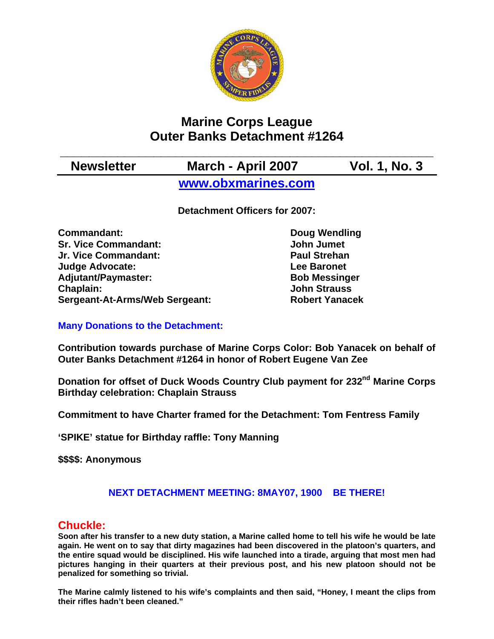

# **Marine Corps League Outer Banks Detachment #1264**

# **\_\_\_\_\_\_\_\_\_\_\_\_\_\_\_\_\_\_\_\_\_\_\_\_\_\_\_\_\_\_\_\_\_\_\_\_\_\_\_\_\_\_\_\_\_\_\_\_\_\_\_\_ Newsletter March - April 2007 Vol. 1, No. 3**

**[www.obxmarines.com](http://www.obxmarines.com/)**

**Detachment Officers for 2007:** 

**Commandant:** Doug Wendling **Sr. Vice Commandant:** John Jumet **Jr. Vice Commandant: Paul Strehan Judge Advocate: Lee Baronet**  Adjutant/Paymaster: Bob Messinger **Chaplain: John Strauss Sergeant-At-Arms/Web Sergeant: Robert Yanacek**

## **Many Donations to the Detachment:**

**Contribution towards purchase of Marine Corps Color: Bob Yanacek on behalf of Outer Banks Detachment #1264 in honor of Robert Eugene Van Zee** 

**Donation for offset of Duck Woods Country Club payment for 232<sup>nd</sup> Marine Corps Birthday celebration: Chaplain Strauss** 

**Commitment to have Charter framed for the Detachment: Tom Fentress Family**

**'SPIKE' statue for Birthday raffle: Tony Manning** 

**\$\$\$\$: Anonymous** 

## **NEXT DETACHMENT MEETING: 8MAY07, 1900 BE THERE!**

# **Chuckle:**

**Soon after his transfer to a new duty station, a Marine called home to tell his wife he would be late again. He went on to say that dirty magazines had been discovered in the platoon's quarters, and the entire squad would be disciplined. His wife launched into a tirade, arguing that most men had pictures hanging in their quarters at their previous post, and his new platoon should not be penalized for something so trivial.**

**The Marine calmly listened to his wife's complaints and then said, "Honey, I meant the clips from their rifles hadn't been cleaned."**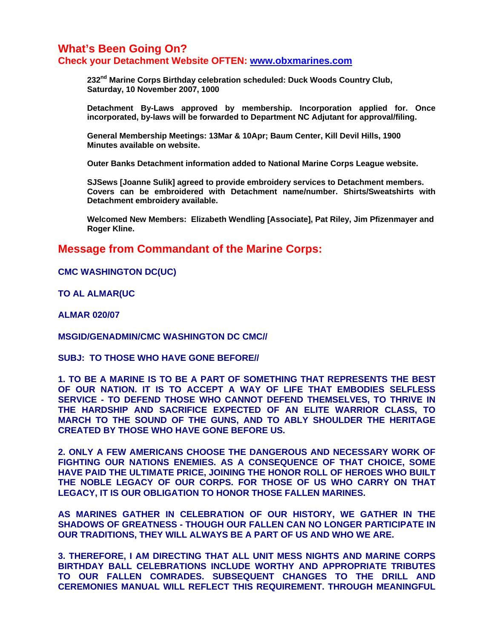### **What's Been Going On? Check your Detachment Website OFTEN: [www.obxmarines.com](http://www.obxmarines.com/)**

232<sup>nd</sup> Marine Corps Birthday celebration scheduled: Duck Woods Country Club,  **Saturday, 10 November 2007, 1000** 

**Detachment By-Laws approved by membership. Incorporation applied for. Once incorporated, by-laws will be forwarded to Department NC Adjutant for approval/filing.** 

 **General Membership Meetings: 13Mar & 10Apr; Baum Center, Kill Devil Hills, 1900 Minutes available on website.** 

 **Outer Banks Detachment information added to National Marine Corps League website.** 

 **SJSews [Joanne Sulik] agreed to provide embroidery services to Detachment members. Covers can be embroidered with Detachment name/number. Shirts/Sweatshirts with Detachment embroidery available.** 

 **Welcomed New Members: Elizabeth Wendling [Associate], Pat Riley, Jim Pfizenmayer and Roger Kline.** 

#### **Message from Commandant of the Marine Corps:**

**CMC WASHINGTON DC(UC)**

**TO AL ALMAR(UC**

**ALMAR 020/07** 

**MSGID/GENADMIN/CMC WASHINGTON DC CMC//**

**SUBJ: TO THOSE WHO HAVE GONE BEFORE//**

**1. TO BE A MARINE IS TO BE A PART OF SOMETHING THAT REPRESENTS THE BEST OF OUR NATION. IT IS TO ACCEPT A WAY OF LIFE THAT EMBODIES SELFLESS SERVICE - TO DEFEND THOSE WHO CANNOT DEFEND THEMSELVES, TO THRIVE IN THE HARDSHIP AND SACRIFICE EXPECTED OF AN ELITE WARRIOR CLASS, TO MARCH TO THE SOUND OF THE GUNS, AND TO ABLY SHOULDER THE HERITAGE CREATED BY THOSE WHO HAVE GONE BEFORE US.**

**2. ONLY A FEW AMERICANS CHOOSE THE DANGEROUS AND NECESSARY WORK OF FIGHTING OUR NATIONS ENEMIES. AS A CONSEQUENCE OF THAT CHOICE, SOME HAVE PAID THE ULTIMATE PRICE, JOINING THE HONOR ROLL OF HEROES WHO BUILT THE NOBLE LEGACY OF OUR CORPS. FOR THOSE OF US WHO CARRY ON THAT LEGACY, IT IS OUR OBLIGATION TO HONOR THOSE FALLEN MARINES.**

**AS MARINES GATHER IN CELEBRATION OF OUR HISTORY, WE GATHER IN THE SHADOWS OF GREATNESS - THOUGH OUR FALLEN CAN NO LONGER PARTICIPATE IN OUR TRADITIONS, THEY WILL ALWAYS BE A PART OF US AND WHO WE ARE.**

**3. THEREFORE, I AM DIRECTING THAT ALL UNIT MESS NIGHTS AND MARINE CORPS BIRTHDAY BALL CELEBRATIONS INCLUDE WORTHY AND APPROPRIATE TRIBUTES TO OUR FALLEN COMRADES. SUBSEQUENT CHANGES TO THE DRILL AND CEREMONIES MANUAL WILL REFLECT THIS REQUIREMENT. THROUGH MEANINGFUL**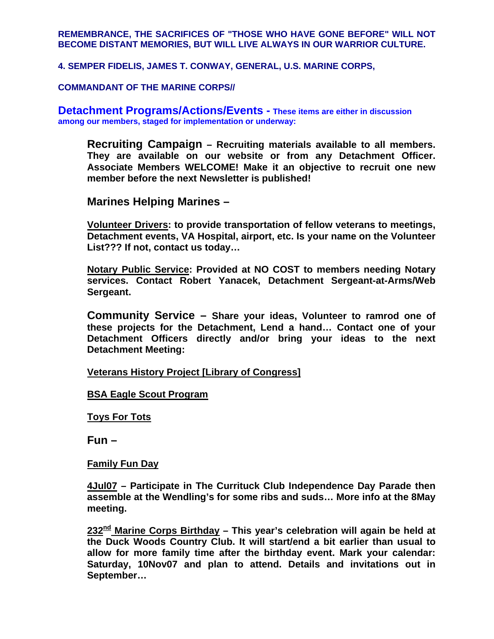#### **REMEMBRANCE, THE SACRIFICES OF "THOSE WHO HAVE GONE BEFORE" WILL NOT BECOME DISTANT MEMORIES, BUT WILL LIVE ALWAYS IN OUR WARRIOR CULTURE.**

**4. SEMPER FIDELIS, JAMES T. CONWAY, GENERAL, U.S. MARINE CORPS,**

**COMMANDANT OF THE MARINE CORPS//** 

**Detachment Programs/Actions/Events - These items are either in discussion among our members, staged for implementation or underway:** 

**Recruiting Campaign – Recruiting materials available to all members. They are available on our website or from any Detachment Officer. Associate Members WELCOME! Make it an objective to recruit one new member before the next Newsletter is published!** 

**Marines Helping Marines –** 

**Volunteer Drivers: to provide transportation of fellow veterans to meetings, Detachment events, VA Hospital, airport, etc. Is your name on the Volunteer List??? If not, contact us today…** 

**Notary Public Service: Provided at NO COST to members needing Notary services. Contact Robert Yanacek, Detachment Sergeant-at-Arms/Web Sergeant.** 

**Community Service – Share your ideas, Volunteer to ramrod one of these projects for the Detachment, Lend a hand… Contact one of your Detachment Officers directly and/or bring your ideas to the next Detachment Meeting:** 

**Veterans History Project [Library of Congress]**

**BSA Eagle Scout Program**

**Toys For Tots**

**Fun –** 

**Family Fun Day**

**4Jul07 – Participate in The Currituck Club Independence Day Parade then assemble at the Wendling's for some ribs and suds… More info at the 8May meeting.** 

232<sup>nd</sup> Marine Corps Birthday – This year's celebration will again be held at **the Duck Woods Country Club. It will start/end a bit earlier than usual to allow for more family time after the birthday event. Mark your calendar: Saturday, 10Nov07 and plan to attend. Details and invitations out in September…**